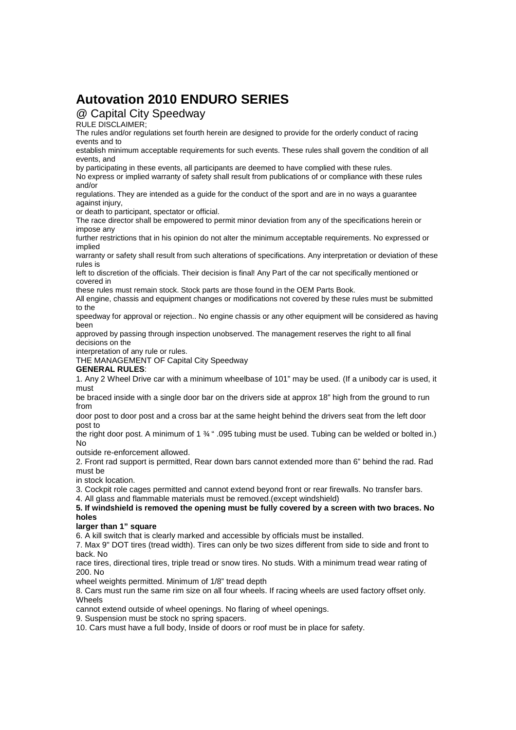# **Autovation 2010 ENDURO SERIES**

# @ Capital City Speedway

RULE DISCLAIMER;

The rules and/or regulations set fourth herein are designed to provide for the orderly conduct of racing events and to

establish minimum acceptable requirements for such events. These rules shall govern the condition of all events, and

by participating in these events, all participants are deemed to have complied with these rules.

No express or implied warranty of safety shall result from publications of or compliance with these rules and/or

regulations. They are intended as a guide for the conduct of the sport and are in no ways a guarantee against injury,

or death to participant, spectator or official.

The race director shall be empowered to permit minor deviation from any of the specifications herein or impose any

further restrictions that in his opinion do not alter the minimum acceptable requirements. No expressed or implied

warranty or safety shall result from such alterations of specifications. Any interpretation or deviation of these rules is

left to discretion of the officials. Their decision is final! Any Part of the car not specifically mentioned or covered in

these rules must remain stock. Stock parts are those found in the OEM Parts Book.

All engine, chassis and equipment changes or modifications not covered by these rules must be submitted to the

speedway for approval or rejection.. No engine chassis or any other equipment will be considered as having been

approved by passing through inspection unobserved. The management reserves the right to all final decisions on the

interpretation of any rule or rules.

THE MANAGEMENT OF Capital City Speedway

## **GENERAL RULES**:

1. Any 2 Wheel Drive car with a minimum wheelbase of 101" may be used. (If a unibody car is used, it must

be braced inside with a single door bar on the drivers side at approx 18" high from the ground to run from

door post to door post and a cross bar at the same height behind the drivers seat from the left door post to

the right door post. A minimum of 1 ¾ " .095 tubing must be used. Tubing can be welded or bolted in.) No

outside re-enforcement allowed.

2. Front rad support is permitted, Rear down bars cannot extended more than 6" behind the rad. Rad must be

in stock location.

3. Cockpit role cages permitted and cannot extend beyond front or rear firewalls. No transfer bars.

4. All glass and flammable materials must be removed.(except windshield)

**5. If windshield is removed the opening must be fully covered by a screen with two braces. No holes** 

**larger than 1" square** 

6. A kill switch that is clearly marked and accessible by officials must be installed.

7. Max 9" DOT tires (tread width). Tires can only be two sizes different from side to side and front to back. No

race tires, directional tires, triple tread or snow tires. No studs. With a minimum tread wear rating of 200. No

wheel weights permitted. Minimum of 1/8" tread depth

8. Cars must run the same rim size on all four wheels. If racing wheels are used factory offset only. **Wheels** 

cannot extend outside of wheel openings. No flaring of wheel openings.

9. Suspension must be stock no spring spacers.

10. Cars must have a full body, Inside of doors or roof must be in place for safety.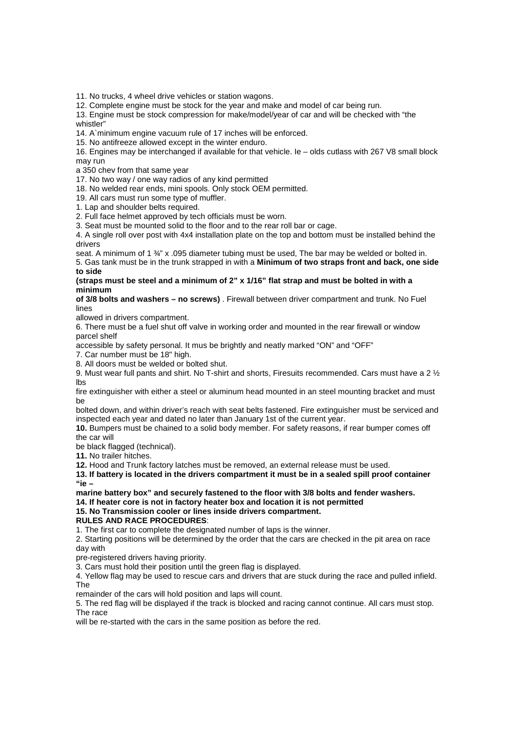11. No trucks, 4 wheel drive vehicles or station wagons.

12. Complete engine must be stock for the year and make and model of car being run.

13. Engine must be stock compression for make/model/year of car and will be checked with "the whistler"

14. A`minimum engine vacuum rule of 17 inches will be enforced.

15. No antifreeze allowed except in the winter enduro.

16. Engines may be interchanged if available for that vehicle. Ie – olds cutlass with 267 V8 small block may run

a 350 chev from that same year

17. No two way / one way radios of any kind permitted

18. No welded rear ends, mini spools. Only stock OEM permitted.

19. All cars must run some type of muffler.

1. Lap and shoulder belts required.

2. Full face helmet approved by tech officials must be worn.

3. Seat must be mounted solid to the floor and to the rear roll bar or cage.

4. A single roll over post with 4x4 installation plate on the top and bottom must be installed behind the drivers

seat. A minimum of 1  $\frac{3}{4}$ " x .095 diameter tubing must be used. The bar may be welded or bolted in.

5. Gas tank must be in the trunk strapped in with a **Minimum of two straps front and back, one side to side** 

### **(straps must be steel and a minimum of 2" x 1/16" flat strap and must be bolted in with a minimum**

**of 3/8 bolts and washers – no screws)** . Firewall between driver compartment and trunk. No Fuel lines

allowed in drivers compartment.

6. There must be a fuel shut off valve in working order and mounted in the rear firewall or window parcel shelf

accessible by safety personal. It mus be brightly and neatly marked "ON" and "OFF"

7. Car number must be 18" high.

8. All doors must be welded or bolted shut.

9. Must wear full pants and shirt. No T-shirt and shorts, Firesuits recommended. Cars must have a 2  $\frac{1}{2}$ lbs

fire extinguisher with either a steel or aluminum head mounted in an steel mounting bracket and must be

bolted down, and within driver's reach with seat belts fastened. Fire extinguisher must be serviced and inspected each year and dated no later than January 1st of the current year.

**10.** Bumpers must be chained to a solid body member. For safety reasons, if rear bumper comes off the car will

be black flagged (technical).

**11.** No trailer hitches.

**12.** Hood and Trunk factory latches must be removed, an external release must be used.

**13. If battery is located in the drivers compartment it must be in a sealed spill proof container "ie –** 

#### **marine battery box" and securely fastened to the floor with 3/8 bolts and fender washers. 14. If heater core is not in factory heater box and location it is not permitted 15. No Transmission cooler or lines inside drivers compartment.**

## **RULES AND RACE PROCEDURES**:

1. The first car to complete the designated number of laps is the winner.

2. Starting positions will be determined by the order that the cars are checked in the pit area on race day with

pre-registered drivers having priority.

3. Cars must hold their position until the green flag is displayed.

4. Yellow flag may be used to rescue cars and drivers that are stuck during the race and pulled infield. The

remainder of the cars will hold position and laps will count.

5. The red flag will be displayed if the track is blocked and racing cannot continue. All cars must stop. The race

will be re-started with the cars in the same position as before the red.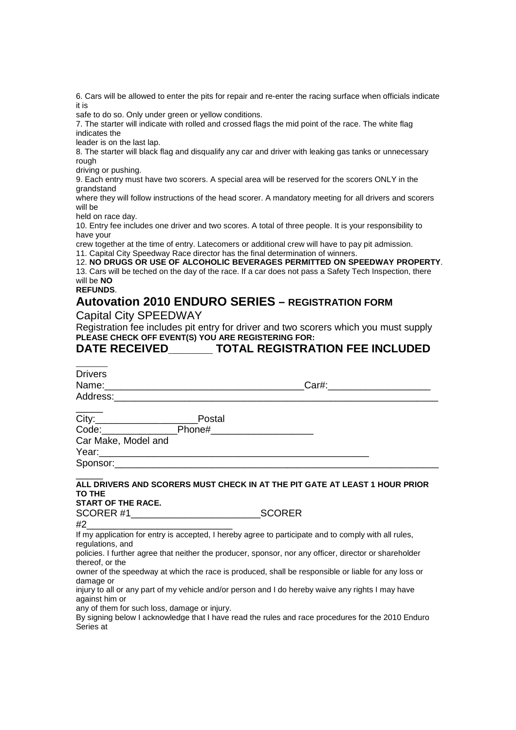6. Cars will be allowed to enter the pits for repair and re-enter the racing surface when officials indicate it is

safe to do so. Only under green or yellow conditions.

7. The starter will indicate with rolled and crossed flags the mid point of the race. The white flag indicates the

leader is on the last lap.

8. The starter will black flag and disqualify any car and driver with leaking gas tanks or unnecessary rough

driving or pushing.

9. Each entry must have two scorers. A special area will be reserved for the scorers ONLY in the grandstand

where they will follow instructions of the head scorer. A mandatory meeting for all drivers and scorers will be

held on race day.

10. Entry fee includes one driver and two scores. A total of three people. It is your responsibility to have your

crew together at the time of entry. Latecomers or additional crew will have to pay pit admission. 11. Capital City Speedway Race director has the final determination of winners.

12. **NO DRUGS OR USE OF ALCOHOLIC BEVERAGES PERMITTED ON SPEEDWAY PROPERTY**.

13. Cars will be teched on the day of the race. If a car does not pass a Safety Tech Inspection, there will be **NO** 

**REFUNDS**.

# **Autovation 2010 ENDURO SERIES – REGISTRATION FORM**

Capital City SPEEDWAY

Registration fee includes pit entry for driver and two scorers which you must supply **PLEASE CHECK OFF EVENT(S) YOU ARE REGISTERING FOR:** 

# **DATE RECEIVED\_\_\_\_\_\_\_ TOTAL REGISTRATION FEE INCLUDED**

| <b>Drivers</b>                                                                                                                                                                                                                                                                                                                                                                                                       |                               |
|----------------------------------------------------------------------------------------------------------------------------------------------------------------------------------------------------------------------------------------------------------------------------------------------------------------------------------------------------------------------------------------------------------------------|-------------------------------|
|                                                                                                                                                                                                                                                                                                                                                                                                                      | Car#: _______________________ |
| Address: Analysis and the contract of the contract of the contract of the contract of the contract of the contract of the contract of the contract of the contract of the contract of the contract of the contract of the cont                                                                                                                                                                                       |                               |
|                                                                                                                                                                                                                                                                                                                                                                                                                      |                               |
|                                                                                                                                                                                                                                                                                                                                                                                                                      |                               |
| Code: Phone#____________________                                                                                                                                                                                                                                                                                                                                                                                     |                               |
| Car Make, Model and                                                                                                                                                                                                                                                                                                                                                                                                  |                               |
| Year: 2008 - 2008 - 2014 - 2014 - 2014 - 2014 - 2014 - 2014 - 2014 - 2014 - 2014 - 2014 - 2014 - 2014 - 2014 -                                                                                                                                                                                                                                                                                                       |                               |
|                                                                                                                                                                                                                                                                                                                                                                                                                      |                               |
| ALL DRIVERS AND SCORERS MUST CHECK IN AT THE PIT GATE AT LEAST 1 HOUR PRIOR<br><b>TO THE</b><br><b>START OF THE RACE.</b><br>SCORER #1_____________________________<br>_SCORER<br>If my application for entry is accepted, I hereby agree to participate and to comply with all rules,<br>regulations, and<br>policies. I further agree that neither the producer, sponsor, nor any officer, director or shareholder |                               |
| thereof, or the                                                                                                                                                                                                                                                                                                                                                                                                      |                               |
| owner of the speedway at which the race is produced, shall be responsible or liable for any loss or<br>damage or                                                                                                                                                                                                                                                                                                     |                               |
| injury to all or any part of my vehicle and/or person and I do hereby waive any rights I may have<br>against him or                                                                                                                                                                                                                                                                                                  |                               |
| any of them for such loss, damage or injury.<br>By signing below I acknowledge that I have read the rules and race procedures for the 2010 Enduro<br>Series at                                                                                                                                                                                                                                                       |                               |
|                                                                                                                                                                                                                                                                                                                                                                                                                      |                               |